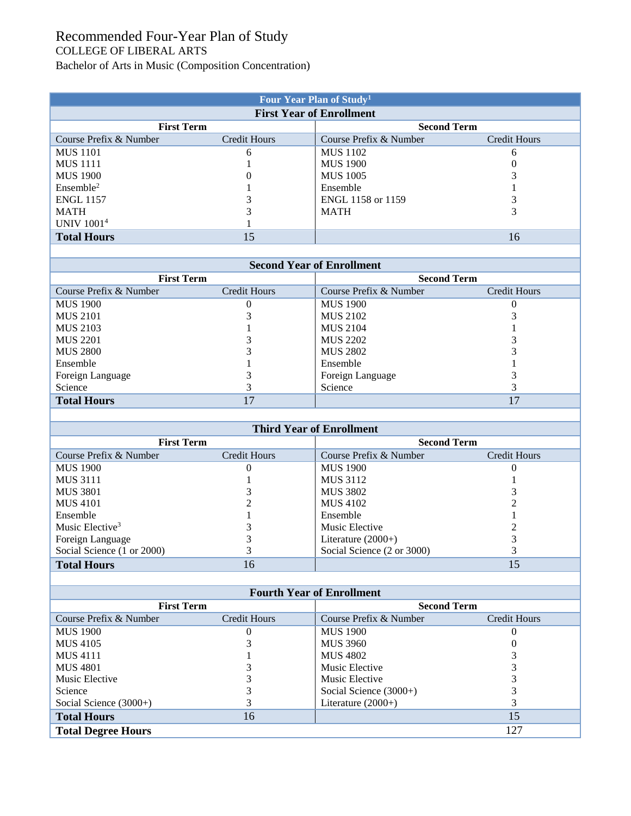## Recommended Four-Year Plan of Study COLLEGE OF LIBERAL ARTS

Bachelor of Arts in Music (Composition Concentration)

| Four Year Plan of Study <sup>1</sup> |              |                        |              |  |  |  |  |
|--------------------------------------|--------------|------------------------|--------------|--|--|--|--|
| <b>First Year of Enrollment</b>      |              |                        |              |  |  |  |  |
| <b>First Term</b>                    |              | <b>Second Term</b>     |              |  |  |  |  |
| Course Prefix & Number               | Credit Hours | Course Prefix & Number | Credit Hours |  |  |  |  |
| <b>MUS</b> 1101                      | 6            | <b>MUS</b> 1102        | 6            |  |  |  |  |
| <b>MUS</b> 1111                      |              | <b>MUS 1900</b>        |              |  |  |  |  |
| <b>MUS 1900</b>                      |              | <b>MUS</b> 1005        |              |  |  |  |  |
| Ensemble <sup>2</sup>                |              | Ensemble               |              |  |  |  |  |
| <b>ENGL 1157</b>                     |              | ENGL 1158 or 1159      |              |  |  |  |  |
| <b>MATH</b>                          |              | <b>MATH</b>            |              |  |  |  |  |
| <b>UNIV 10014</b>                    |              |                        |              |  |  |  |  |
| <b>Total Hours</b>                   | 15           |                        | 16           |  |  |  |  |

| <b>Second Year of Enrollment</b> |                     |                        |              |  |  |  |
|----------------------------------|---------------------|------------------------|--------------|--|--|--|
| <b>First Term</b>                |                     | <b>Second Term</b>     |              |  |  |  |
| Course Prefix & Number           | <b>Credit Hours</b> | Course Prefix & Number | Credit Hours |  |  |  |
| <b>MUS 1900</b>                  |                     | <b>MUS 1900</b>        |              |  |  |  |
| <b>MUS 2101</b>                  |                     | <b>MUS 2102</b>        |              |  |  |  |
| <b>MUS 2103</b>                  |                     | <b>MUS 2104</b>        |              |  |  |  |
| <b>MUS 2201</b>                  |                     | MUS 2202               |              |  |  |  |
| <b>MUS 2800</b>                  |                     | <b>MUS 2802</b>        |              |  |  |  |
| Ensemble                         |                     | Ensemble               |              |  |  |  |
| Foreign Language                 |                     | Foreign Language       |              |  |  |  |
| Science                          |                     | Science                |              |  |  |  |
| <b>Total Hours</b>               | 17                  |                        | 17           |  |  |  |

| <b>Third Year of Enrollment</b> |              |                            |                    |  |  |  |
|---------------------------------|--------------|----------------------------|--------------------|--|--|--|
| <b>First Term</b>               |              |                            | <b>Second Term</b> |  |  |  |
| Course Prefix & Number          | Credit Hours | Course Prefix & Number     | Credit Hours       |  |  |  |
| <b>MUS 1900</b>                 |              | <b>MUS 1900</b>            |                    |  |  |  |
| <b>MUS 3111</b>                 |              | <b>MUS 3112</b>            |                    |  |  |  |
| MUS 3801                        |              | <b>MUS 3802</b>            |                    |  |  |  |
| <b>MUS 4101</b>                 |              | <b>MUS 4102</b>            |                    |  |  |  |
| Ensemble                        |              | Ensemble                   |                    |  |  |  |
| Music Elective <sup>3</sup>     |              | Music Elective             |                    |  |  |  |
| Foreign Language                |              | Literature $(2000+)$       |                    |  |  |  |
| Social Science (1 or 2000)      |              | Social Science (2 or 3000) |                    |  |  |  |
| <b>Total Hours</b>              | 16           |                            | 15                 |  |  |  |

| <b>Fourth Year of Enrollment</b> |                     |                          |                     |  |  |  |
|----------------------------------|---------------------|--------------------------|---------------------|--|--|--|
| <b>First Term</b>                |                     | <b>Second Term</b>       |                     |  |  |  |
| Course Prefix & Number           | <b>Credit Hours</b> | Course Prefix & Number   | <b>Credit Hours</b> |  |  |  |
| <b>MUS 1900</b>                  |                     | <b>MUS 1900</b>          |                     |  |  |  |
| MUS 4105                         |                     | <b>MUS 3960</b>          |                     |  |  |  |
| <b>MUS 4111</b>                  |                     | <b>MUS 4802</b>          |                     |  |  |  |
| <b>MUS 4801</b>                  |                     | Music Elective           |                     |  |  |  |
| Music Elective                   |                     | Music Elective           |                     |  |  |  |
| Science                          |                     | Social Science $(3000+)$ |                     |  |  |  |
| Social Science $(3000+)$         |                     | Literature $(2000+)$     |                     |  |  |  |
| <b>Total Hours</b>               | 16                  |                          | 15                  |  |  |  |
| <b>Total Degree Hours</b>        |                     |                          | 127                 |  |  |  |